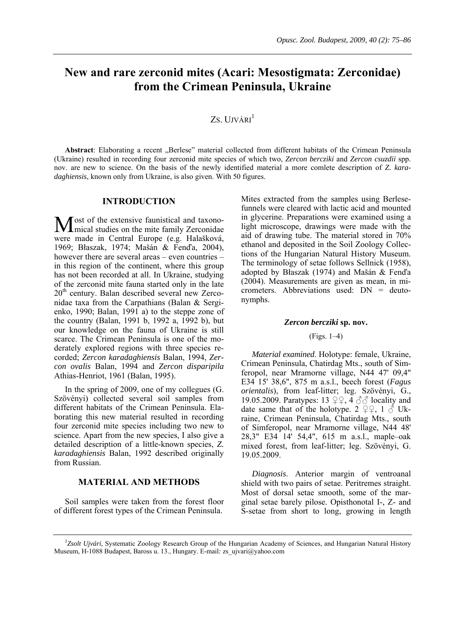# **New and rare zerconid mites (Acari: Mesostigmata: Zerconidae) from the Crimean Peninsula, Ukraine**

## ZS. UJVÁRI<sup>1</sup>

Abstract: Elaborating a recent "Berlese" material collected from different habitats of the Crimean Peninsula (Ukraine) resulted in recording four zerconid mite species of which two, *Zercon bercziki* and *Zercon csuzdii* spp. nov. are new to science. On the basis of the newly identified material a more comlete description of *Z. karadaghiensis*, known only from Ukraine, is also given. With 50 figures.

#### **INTRODUCTION**

**J** ost of the extensive faunistical and taxono-Most of the extensive faunistical and taxono-<br>
Mical studies on the mite family Zerconidae were made in Central Europe (e.g. Halašková, 1969; Błaszak, 1974; Mašán & Fenďa, 2004), however there are several areas – even countries – in this region of the continent, where this group has not been recorded at all. In Ukraine, studying of the zerconid mite fauna started only in the late  $20<sup>th</sup>$  century. Balan described several new Zerconidae taxa from the Carpathians (Balan & Sergienko, 1990; Balan, 1991 a) to the steppe zone of the country (Balan, 1991 b, 1992 a, 1992 b), but our knowledge on the fauna of Ukraine is still scarce. The Crimean Peninsula is one of the moderately explored regions with three species recorded; *Zercon karadaghiensis* Balan, 1994, *Zercon ovalis* Balan, 1994 and *Zercon disparipila*  Athias-Henriot, 1961 (Balan, 1995).

In the spring of 2009, one of my collegues (G. Szövényi) collected several soil samples from different habitats of the Crimean Peninsula. Elaborating this new material resulted in recording four zerconid mite species including two new to science. Apart from the new species, I also give a detailed description of a little-known species, *Z. karadaghiensis* Balan, 1992 described originally from Russian.

## **MATERIAL AND METHODS**

Soil samples were taken from the forest floor of different forest types of the Crimean Peninsula.

Mites extracted from the samples using Berlesefunnels were cleared with lactic acid and mounted in glycerine. Preparations were examined using a light microscope, drawings were made with the aid of drawing tube. The material stored in 70% ethanol and deposited in the Soil Zoology Collections of the Hungarian Natural History Museum. The terminology of setae follows Sellnick (1958), adopted by Błaszak (1974) and Mašán & Fenďa (2004). Measurements are given as mean, in micrometers. Abbreviations used: DN = deutonymphs.

#### *Zercon bercziki* **sp. nov.**

#### (Figs. 1–4)

*Material examined*. Holotype: female, Ukraine, Crimean Peninsula, Chatirdag Mts., south of Simferopol, near Mramorne village, N44 47' 09,4" E34 15' 38,6", 875 m a.s.l., beech forest (*Fagus orientalis*), from leaf-litter; leg. Szövényi, G., 19.05.2009. Paratypes: 13  $\varphi$ , 4  $\varphi$  locality and date same that of the holotype. 2  $\mathcal{Q} \mathcal{Q}$ , 1  $\mathcal{S}$  Ukraine, Crimean Peninsula, Chatirdag Mts., south of Simferopol, near Mramorne village, N44 48' 28,3" E34 14' 54,4", 615 m a.s.l., maple–oak mixed forest, from leaf-litter; leg. Szövényi, G. 19.05.2009.

*Diagnosis*. Anterior margin of ventroanal shield with two pairs of setae. Peritremes straight. Most of dorsal setae smooth, some of the marginal setae barely pilose. Opisthonotal I-, Z- and S-setae from short to long, growing in length

*<sup>1</sup> Zsolt Ujvári,* Systematic Zoology Research Group of the Hungarian Academy of Sciences, and Hungarian Natural History Museum, H-1088 Budapest, Baross u. 13., Hungary. E-mail*:* zs\_ujvari@yahoo.com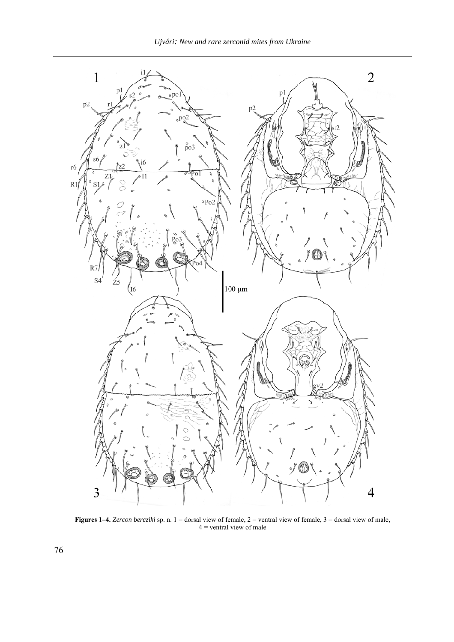

**Figures 1–4.** *Zercon bercziki* sp. n. 1 = dorsal view of female, 2 = ventral view of female, 3 = dorsal view of male, 4 = ventral view of male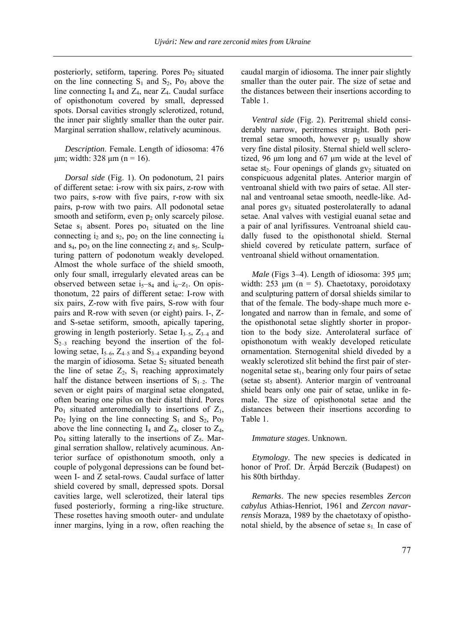posteriorly, setiform, tapering. Pores Po<sub>2</sub> situated on the line connecting  $S_1$  and  $S_2$ , Po<sub>3</sub> above the line connecting  $I_4$  and  $Z_4$ , near  $Z_4$ . Caudal surface of opisthonotum covered by small, depressed spots. Dorsal cavities strongly sclerotized, rotund, the inner pair slightly smaller than the outer pair. Marginal serration shallow, relatively acuminous.

*Description*. Female. Length of idiosoma: 476  $\mu$ m; width: 328  $\mu$ m (n = 16).

*Dorsal side* (Fig. 1). On podonotum, 21 pairs of different setae: i-row with six pairs, z-row with two pairs, s-row with five pairs, r-row with six pairs, p-row with two pairs. All podonotal setae smooth and setiform, even  $p_2$  only scarcely pilose. Setae  $s_1$  absent. Pores  $po_1$  situated on the line connecting  $i_2$  and  $s_2$ ,  $po_2$  on the line connecting  $i_4$ and  $s_4$ , po<sub>3</sub> on the line connecting  $z_1$  and  $s_5$ . Sculpturing pattern of podonotum weakly developed. Almost the whole surface of the shield smooth, only four small, irregularly elevated areas can be observed between setae  $i_5$ – $s_4$  and  $i_6$ – $z_1$ . On opisthonotum, 22 pairs of different setae: I-row with six pairs, Z-row with five pairs, S-row with four pairs and R-row with seven (or eight) pairs. I-, Zand S-setae setiform, smooth, apically tapering, growing in length posteriorly. Setae  $I_{3-5}$ ,  $Z_{3-4}$  and  $S_{2-3}$  reaching beyond the insertion of the following setae,  $I_{5-6}$ ,  $Z_{4-5}$  and  $S_{3-4}$  expanding beyond the margin of idiosoma. Setae  $S_2$  situated beneath the line of setae  $Z_2$ ,  $S_1$  reaching approximately half the distance between insertions of  $S_{1-2}$ . The seven or eight pairs of marginal setae elongated, often bearing one pilus on their distal third. Pores  $Po_1$  situated anteromedially to insertions of  $Z_1$ ,  $Po_2$  lying on the line connecting  $S_1$  and  $S_2$ ,  $Po_3$ above the line connecting  $I_4$  and  $Z_4$ , closer to  $Z_4$ ,  $P_{Q_4}$  sitting laterally to the insertions of  $Z_5$ . Marginal serration shallow, relatively acuminous. Anterior surface of opisthonotum smooth, only a couple of polygonal depressions can be found between I- and Z setal-rows. Caudal surface of latter shield covered by small, depressed spots. Dorsal cavities large, well sclerotized, their lateral tips fused posteriorly, forming a ring-like structure. These rosettes having smooth outer- and undulate inner margins, lying in a row, often reaching the caudal margin of idiosoma. The inner pair slightly smaller than the outer pair. The size of setae and the distances between their insertions according to Table 1.

*Ventral side* (Fig. 2). Peritremal shield considerably narrow, peritremes straight. Both peritremal setae smooth, however  $p_2$  usually show very fine distal pilosity. Sternal shield well sclerotized, 96 µm long and 67 µm wide at the level of setae st<sub>2</sub>. Four openings of glands  $gy_2$  situated on conspicuous adgenital plates. Anterior margin of ventroanal shield with two pairs of setae. All sternal and ventroanal setae smooth, needle-like. Adanal pores  $gy_3$  situated posterolaterally to adanal setae. Anal valves with vestigial euanal setae and a pair of anal lyrifissures. Ventroanal shield caudally fused to the opisthonotal shield. Sternal shield covered by reticulate pattern, surface of ventroanal shield without ornamentation.

*Male* (Figs 3–4). Length of idiosoma: 395 µm; width: 253  $\mu$ m (n = 5). Chaetotaxy, poroidotaxy and sculpturing pattern of dorsal shields similar to that of the female. The body-shape much more elongated and narrow than in female, and some of the opisthonotal setae slightly shorter in proportion to the body size. Anterolateral surface of opisthonotum with weakly developed reticulate ornamentation. Sternogenital shield diveded by a weakly sclerotized slit behind the first pair of sternogenital setae  $st<sub>1</sub>$ , bearing only four pairs of setae (setae st<sub>5</sub> absent). Anterior margin of ventroanal shield bears only one pair of setae, unlike in female. The size of opisthonotal setae and the distances between their insertions according to Table 1.

#### *Immature stages*. Unknown.

*Etymology*. The new species is dedicated in honor of Prof. Dr. Árpád Berczik (Budapest) on his 80th birthday.

*Remarks*. The new species resembles *Zercon cabylus* Athias-Henriot, 1961 and *Zercon navarrensis* Moraza, 1989 by the chaetotaxy of opisthonotal shield, by the absence of setae  $s<sub>1</sub>$ . In case of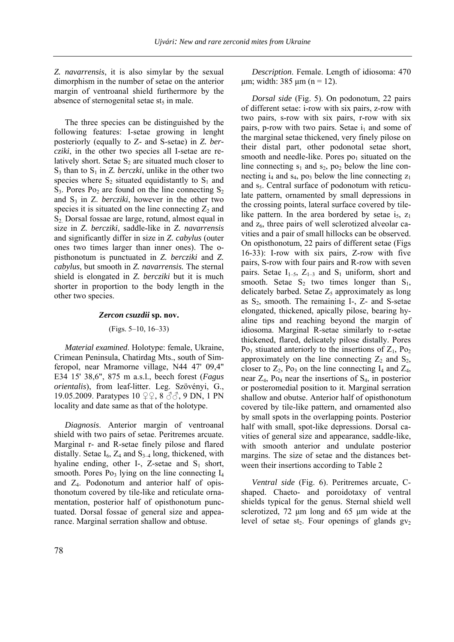*Z. navarrensis*, it is also simylar by the sexual dimorphism in the number of setae on the anterior margin of ventroanal shield furthermore by the absence of sternogenital setae st<sub>5</sub> in male.

The three species can be distinguished by the following features: I-setae growing in lenght posteriorly (equally to Z- and S-setae) in *Z. bercziki*, in the other two species all I-setae are relatively short. Setae  $S_2$  are situated much closer to  $S_3$  than to  $S_1$  in *Z. berczki*, unlike in the other two species where  $S_2$  situated equidistantly to  $S_1$  and  $S_3$ . Pores Po<sub>2</sub> are found on the line connecting  $S_2$ and  $S_3$  in  $Z$ . *bercziki*, however in the other two species it is situated on the line connecting  $Z_2$  and S2. Dorsal fossae are large, rotund, almost equal in size in *Z. bercziki*, saddle-like in *Z. navarrensis* and significantly differ in size in *Z. cabylus* (outer ones two times larger than inner ones). The opisthonotum is punctuated in *Z. bercziki* and *Z. cabylus*, but smooth in *Z. navarrensis.* The sternal shield is elongated in *Z. bercziki* but it is much shorter in proportion to the body length in the other two species.

#### *Zercon csuzdii* **sp. nov.**

(Figs. 5–10, 16–33)

*Material examined*. Holotype: female, Ukraine, Crimean Peninsula, Chatirdag Mts., south of Simferopol, near Mramorne village, N44 47' 09,4" E34 15' 38,6", 875 m a.s.l., beech forest (*Fagus orientalis*), from leaf-litter. Leg. Szövényi, G., 19.05.2009. Paratypes 10 ♀♀, 8 & 3, 9 DN, 1 PN locality and date same as that of the holotype.

*Diagnosis*. Anterior margin of ventroanal shield with two pairs of setae. Peritremes arcuate. Marginal r- and R-setae finely pilose and flared distally. Setae  $I_6$ ,  $Z_4$  and  $S_{3-4}$  long, thickened, with hyaline ending, other I-, Z-setae and  $S_1$  short, smooth. Pores  $Po_3$  lying on the line connecting  $I_4$ and Z4. Podonotum and anterior half of opisthonotum covered by tile-like and reticulate ornamentation, posterior half of opisthonotum punctuated. Dorsal fossae of general size and appearance. Marginal serration shallow and obtuse.

*Description*. Female. Length of idiosoma: 470  $\mu$ m; width: 385  $\mu$ m (n = 12).

*Dorsal side* (Fig. 5). On podonotum, 22 pairs of different setae: i-row with six pairs, z-row with two pairs, s-row with six pairs, r-row with six pairs, p-row with two pairs. Setae  $i_1$  and some of the marginal setae thickened, very finely pilose on their distal part, other podonotal setae short, smooth and needle-like. Pores  $po<sub>1</sub>$  situated on the line connecting  $s_1$  and  $s_2$ , po<sub>2</sub> below the line connecting  $i_4$  and  $s_4$ , po<sub>3</sub> below the line connecting  $z_1$ and  $s<sub>5</sub>$ . Central surface of podonotum with reticulate pattern, ornamented by small depressions in the crossing points, lateral surface covered by tilelike pattern. In the area bordered by setae  $i_5$ ,  $z_1$ and  $z_6$ , three pairs of well sclerotized alveolar cavities and a pair of small hillocks can be observed. On opisthonotum, 22 pairs of different setae (Figs 16-33): I-row with six pairs, Z-row with five pairs, S-row with four pairs and R-row with seven pairs. Setae  $I_{1-5}$ ,  $Z_{1-3}$  and  $S_1$  uniform, short and smooth. Setae  $S_2$  two times longer than  $S_1$ , delicately barbed. Setae  $Z_5$  approximately as long as  $S_2$ , smooth. The remaining I-, Z- and S-setae elongated, thickened, apically pilose, bearing hyaline tips and reaching beyond the margin of idiosoma. Marginal R-setae similarly to r-setae thickened, flared, delicately pilose distally. Pores  $Po<sub>1</sub>$  stiuated anteriorly to the insertions of  $Z<sub>1</sub>$ ,  $Po<sub>2</sub>$ approximately on the line connecting  $Z_2$  and  $S_2$ , closer to  $Z_2$ , Po<sub>3</sub> on the line connecting  $I_4$  and  $Z_4$ , near  $Z_4$ , Po<sub>4</sub> near the insertions of  $S_4$ , in posterior or posteromedial position to it. Marginal serration shallow and obutse. Anterior half of opisthonotum covered by tile-like pattern, and ornamented also by small spots in the overlapping points. Posterior half with small, spot-like depressions. Dorsal cavities of general size and appearance, saddle-like, with smooth anterior and undulate posterior margins. The size of setae and the distances between their insertions according to Table 2

*Ventral side* (Fig. 6). Peritremes arcuate, Cshaped. Chaeto- and poroidotaxy of ventral shields typical for the genus. Sternal shield well sclerotized, 72 µm long and 65 µm wide at the level of setae st<sub>2</sub>. Four openings of glands  $gy_2$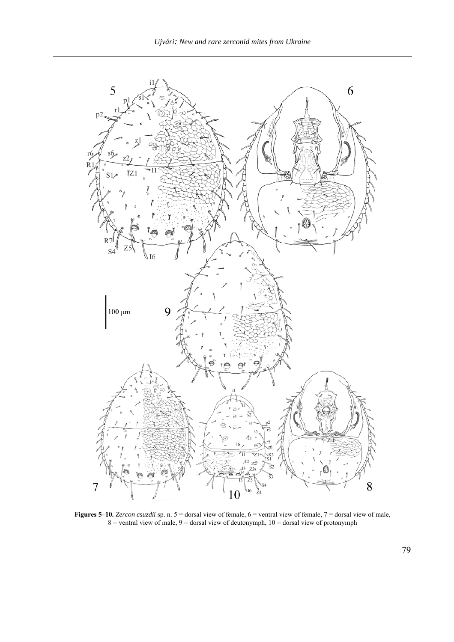

**Figures 5–10.** *Zercon csuzdii* sp. n. 5 = dorsal view of female, 6 = ventral view of female, 7 = dorsal view of male,  $8 =$  ventral view of male,  $9 =$  dorsal view of deutonymph,  $10 =$  dorsal view of protonymph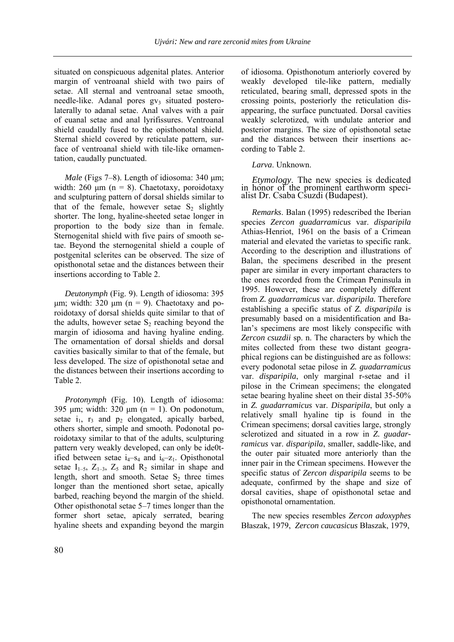situated on conspicuous adgenital plates. Anterior margin of ventroanal shield with two pairs of setae. All sternal and ventroanal setae smooth, needle-like. Adanal pores  $gy_3$  situated posterolaterally to adanal setae. Anal valves with a pair of euanal setae and anal lyrifissures. Ventroanal shield caudally fused to the opisthonotal shield. Sternal shield covered by reticulate pattern, surface of ventroanal shield with tile-like ornamentation, caudally punctuated.

*Male* (Figs 7–8). Length of idiosoma: 340 µm; width: 260  $\mu$ m (n = 8). Chaetotaxy, poroidotaxy and sculpturing pattern of dorsal shields similar to that of the female, however setae  $S_2$  slightly shorter. The long, hyaline-sheeted setae longer in proportion to the body size than in female. Sternogenital shield with five pairs of smooth setae. Beyond the sternogenital shield a couple of postgenital sclerites can be observed. The size of opisthonotal setae and the distances between their insertions according to Table 2.

*Deutonymph* (Fig. 9). Length of idiosoma: 395  $\mu$ m; width: 320  $\mu$ m (n = 9). Chaetotaxy and poroidotaxy of dorsal shields quite similar to that of the adults, however setae  $S_2$  reaching beyond the margin of idiosoma and having hyaline ending. The ornamentation of dorsal shields and dorsal cavities basically similar to that of the female, but less developed. The size of opisthonotal setae and the distances between their insertions according to Table 2.

*Protonymph* (Fig. 10). Length of idiosoma: 395  $\mu$ m; width: 320  $\mu$ m (n = 1). On podonotum, setae  $i_1$ ,  $r_3$  and  $p_2$  elongated, apically barbed, others shorter, simple and smooth. Podonotal poroidotaxy similar to that of the adults, sculpturing pattern very weakly developed, can only be ide0tified between setae  $i_4$ – $s_4$  and  $i_6$ – $z_1$ . Opisthonotal setae  $I_{1-5}$ ,  $Z_{1-3}$ ,  $Z_5$  and  $R_2$  similar in shape and length, short and smooth. Setae  $S_2$  three times longer than the mentioned short setae, apically barbed, reaching beyond the margin of the shield. Other opisthonotal setae 5–7 times longer than the former short setae, apicaly serrated, bearing hyaline sheets and expanding beyond the margin of idiosoma. Opisthonotum anteriorly covered by weakly developed tile-like pattern, medially reticulated, bearing small, depressed spots in the crossing points, posteriorly the reticulation disappearing, the surface punctuated. Dorsal cavities weakly sclerotized, with undulate anterior and posterior margins. The size of opisthonotal setae and the distances between their insertions according to Table 2.

## *Larva*. Unknown.

*Etymology*. The new species is dedicated in honor of the prominent earthworm specialist Dr. Csaba Csuzdi (Budapest).

*Remarks*. Balan (1995) redescribed the Iberian species *Zercon guadarramicus* var. *disparipila* Athias-Henriot, 1961 on the basis of a Crimean material and elevated the varietas to specific rank. According to the description and illustrations of Balan, the specimens described in the present paper are similar in every important characters to the ones recorded from the Crimean Peninsula in 1995. However, these are completely different from *Z. guadarramicus* var. *disparipila.* Therefore establishing a specific status of *Z. disparipila* is presumably based on a misidentification and Balan's specimens are most likely conspecific with *Zercon csuzdii* sp. n. The characters by which the mites collected from these two distant geographical regions can be distinguished are as follows: every podonotal setae pilose in *Z. guadarramicus* var. *disparipila*, only marginal r-setae and i1 pilose in the Crimean specimens; the elongated setae bearing hyaline sheet on their distal 35-50% in *Z. guadarramicus* var. *Disparipila*, but only a relatively small hyaline tip is found in the Crimean specimens; dorsal cavities large, strongly sclerotized and situated in a row in *Z. guadarramicus* var. *disparipila*, smaller, saddle-like, and the outer pair situated more anteriorly than the inner pair in the Crimean specimens. However the specific status of *Zercon disparipila* seems to be adequate, confirmed by the shape and size of dorsal cavities, shape of opisthonotal setae and opisthonotal ornamentation.

The new species resembles *Zercon adoxyphes* Błaszak, 1979, *Zercon caucasicus* Błaszak, 1979,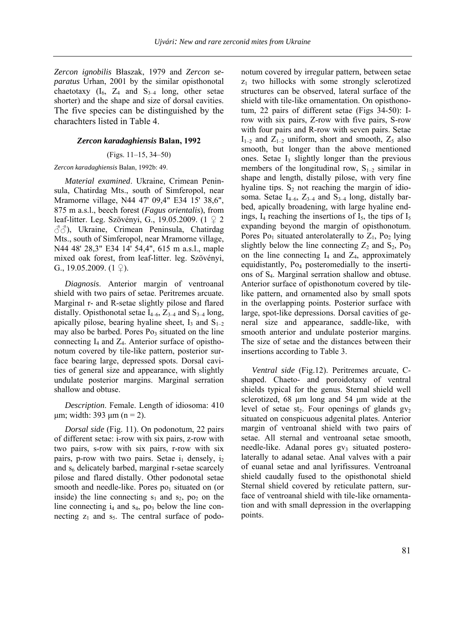*Zercon ignobilis* Błaszak, 1979 and *Zercon separatus* Urhan, 2001 by the similar opisthonotal chaetotaxy  $(I_6, Z_4$  and  $S_{3-4}$  long, other setae shorter) and the shape and size of dorsal cavities. The five species can be distinguished by the charachters listed in Table 4.

## *Zercon karadaghiensis* **Balan, 1992**

## (Figs. 11–15, 34–50)

### *Zercon karadaghiensis* Balan, 1992b: 49.

*Material examined*. Ukraine, Crimean Peninsula, Chatirdag Mts., south of Simferopol, near Mramorne village, N44 47' 09,4" E34 15' 38,6", 875 m a.s.l., beech forest (*Fagus orientalis*), from leaf-litter. Leg. Szövényi, G., 19.05.2009. (1 ♀ 2 ♂♂), Ukraine, Crimean Peninsula, Chatirdag Mts., south of Simferopol, near Mramorne village, N44 48' 28,3" E34 14' 54,4", 615 m a.s.l., maple mixed oak forest, from leaf-litter. leg. Szövényi, G., 19.05.2009.  $(1 \nvert 2)$ .

*Diagnosis*. Anterior margin of ventroanal shield with two pairs of setae. Peritremes arcuate. Marginal r- and R-setae slightly pilose and flared distally. Opisthonotal setae  $I_{4-6}$ ,  $Z_{3-4}$  and  $S_{3-4}$  long, apically pilose, bearing hyaline sheet,  $I_3$  and  $S_{1-2}$ may also be barbed. Pores  $Po_3$  situated on the line connecting  $I_4$  and  $Z_4$ . Anterior surface of opisthonotum covered by tile-like pattern, posterior surface bearing large, depressed spots. Dorsal cavities of general size and appearance, with slightly undulate posterior margins. Marginal serration shallow and obtuse.

*Description*. Female. Length of idiosoma: 410  $\mu$ m; width: 393  $\mu$ m (n = 2).

*Dorsal side* (Fig. 11). On podonotum, 22 pairs of different setae: i-row with six pairs, z-row with two pairs, s-row with six pairs, r-row with six pairs, p-row with two pairs. Setae  $i_1$  densely,  $i_2$ and  $s<sub>6</sub>$  delicately barbed, marginal r-setae scarcely pilose and flared distally. Other podonotal setae smooth and needle-like. Pores  $po<sub>1</sub>$  situated on (or inside) the line connecting  $s_1$  and  $s_2$ ,  $p_0$  on the line connecting  $i_4$  and  $s_4$ , po<sub>3</sub> below the line connecting  $z_1$  and  $s_5$ . The central surface of podonotum covered by irregular pattern, between setae  $z_1$  two hillocks with some strongly sclerotized structures can be observed, lateral surface of the shield with tile-like ornamentation. On opisthonotum, 22 pairs of different setae (Figs 34-50): Irow with six pairs, Z-row with five pairs, S-row with four pairs and R-row with seven pairs. Setae  $I_{1-2}$  and  $Z_{1-2}$  uniform, short and smooth,  $Z_5$  also smooth, but longer than the above mentioned ones. Setae  $I_3$  slightly longer than the previous members of the longitudinal row,  $S_{1-2}$  similar in shape and length, distally pilose, with very fine hyaline tips.  $S_2$  not reaching the margin of idiosoma. Setae  $I_{4-6}$ ,  $Z_{3-4}$  and  $S_{3-4}$  long, distally barbed, apically broadening, with large hyaline endings,  $I_4$  reaching the insertions of  $I_5$ , the tips of  $I_5$ expanding beyond the margin of opisthonotum. Pores  $Po_1$  situated anterolaterally to  $Z_1$ ,  $Po_2$  lying slightly below the line connecting  $Z_2$  and  $S_2$ , Po<sub>3</sub> on the line connecting  $I_4$  and  $Z_4$ , approximately equidistantly, Po4 posteromedially to the insertions of S4. Marginal serration shallow and obtuse. Anterior surface of opisthonotum covered by tilelike pattern, and ornamented also by small spots in the overlapping points. Posterior surface with large, spot-like depressions. Dorsal cavities of general size and appearance, saddle-like, with smooth anterior and undulate posterior margins. The size of setae and the distances between their insertions according to Table 3.

*Ventral side* (Fig.12). Peritremes arcuate, Cshaped. Chaeto- and poroidotaxy of ventral shields typical for the genus. Sternal shield well sclerotized, 68 µm long and 54 µm wide at the level of setae st<sub>2</sub>. Four openings of glands  $gv_2$ situated on conspicuous adgenital plates. Anterior margin of ventroanal shield with two pairs of setae. All sternal and ventroanal setae smooth, needle-like. Adanal pores  $gy_3$  situated posterolaterally to adanal setae. Anal valves with a pair of euanal setae and anal lyrifissures. Ventroanal shield caudally fused to the opisthonotal shield Sternal shield covered by reticulate pattern, surface of ventroanal shield with tile-like ornamentation and with small depression in the overlapping points.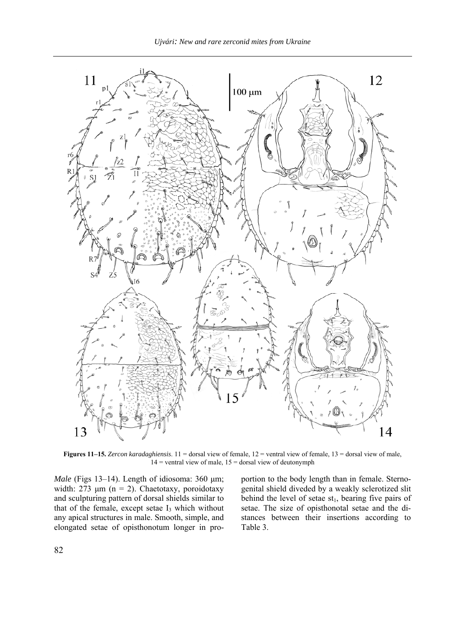

**Figures 11–15.** *Zercon karadaghiensis*. 11 = dorsal view of female, 12 = ventral view of female, 13 = dorsal view of male,  $14$  = ventral view of male,  $15$  = dorsal view of deutonymph

*Male* (Figs 13–14). Length of idiosoma: 360 µm; width:  $273 \mu m$  (n = 2). Chaetotaxy, poroidotaxy and sculpturing pattern of dorsal shields similar to that of the female, except setae  $I_3$  which without any apical structures in male. Smooth, simple, and elongated setae of opisthonotum longer in pro-

portion to the body length than in female. Sternogenital shield diveded by a weakly sclerotized slit behind the level of setae  $st_1$ , bearing five pairs of setae. The size of opisthonotal setae and the distances between their insertions according to Table 3.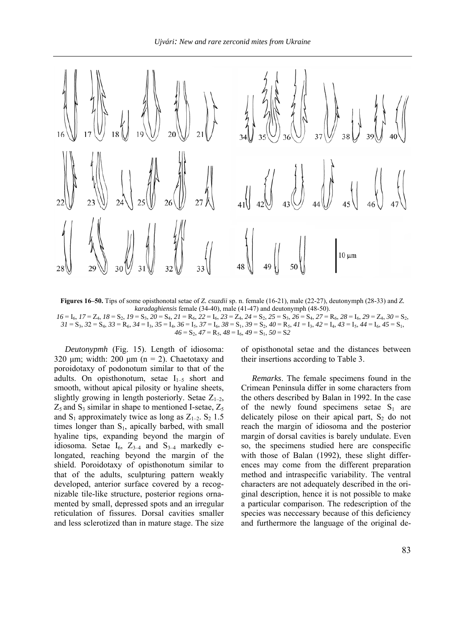

**Figures 16–50.** Tips of some opisthonotal setae of *Z. csuzdii* sp. n. female (16-21), male (22-27), deutonymph (28-33) and *Z. karadaghiensis* female (34-40), male (41-47) and deutonymph (48-50).  $16 = 1_6$ ,  $17 = 2_4$ ,  $18 = S_2$ ,  $19 = S_3$ ,  $20 = S_4$ ,  $21 = R_6$ ,  $22 = I_6$ ,  $23 = Z_4$ ,  $24 = S_2$ ,  $25 = S_3$ ,  $26 = S_4$ ,  $27 = R_6$ ,  $28 = I_6$ ,  $29 = Z_4$ ,  $30 = S_2$ ,  $3I = S_3$ ,  $32 = S_4$ ,  $33 = R_6$ ,  $34 = I_3$ ,  $35 = I_4$ ,  $36 = I_5$ ,  $37 = I_6$ ,  $38 = S_1$ ,  $39 = S_2$ ,  $40 = R_5$ ,  $4I = I_3$ ,  $42 = I_4$ ,  $43 = I_5$ ,  $44 = I_6$ ,  $45 = S_1$ ,

 $46 = S_2$ ,  $47 = R_5$ ,  $48 = I_6$ ,  $49 = S_1$ ,  $50 = S_2$ 

*Deutonypmh* (Fig. 15). Length of idiosoma: 320  $\mu$ m; width: 200  $\mu$ m (n = 2). Chaetotaxy and poroidotaxy of podonotum similar to that of the adults. On opisthonotum, setae  $I_{1-5}$  short and smooth, without apical pilosity or hyaline sheets, slightly growing in length posteriorly. Setae  $Z_{1-2}$ ,  $Z_5$  and  $S_3$  similar in shape to mentioned I-setae,  $Z_5$ and  $S_1$  approximately twice as long as  $Z_{1-2}$ .  $S_2$  1.5 times longer than  $S_1$ , apically barbed, with small hyaline tips, expanding beyond the margin of idiosoma. Setae  $I_6$ ,  $Z_{3-4}$  and  $S_{3-4}$  markedly elongated, reaching beyond the margin of the shield. Poroidotaxy of opisthonotum similar to that of the adults, sculpturing pattern weakly developed, anterior surface covered by a recognizable tile-like structure, posterior regions ornamented by small, depressed spots and an irregular reticulation of fissures. Dorsal cavities smaller and less sclerotized than in mature stage. The size

of opisthonotal setae and the distances between their insertions according to Table 3.

*Remarks*. The female specimens found in the Crimean Peninsula differ in some characters from the others described by Balan in 1992. In the case of the newly found specimens setae  $S_1$  are delicately pilose on their apical part,  $S_2$  do not reach the margin of idiosoma and the posterior margin of dorsal cavities is barely undulate. Even so, the specimens studied here are conspecific with those of Balan (1992), these slight differences may come from the different preparation method and intraspecific variability. The ventral characters are not adequately described in the original description, hence it is not possible to make a particular comparison. The redescription of the species was neccessary because of this deficiency and furthermore the language of the original de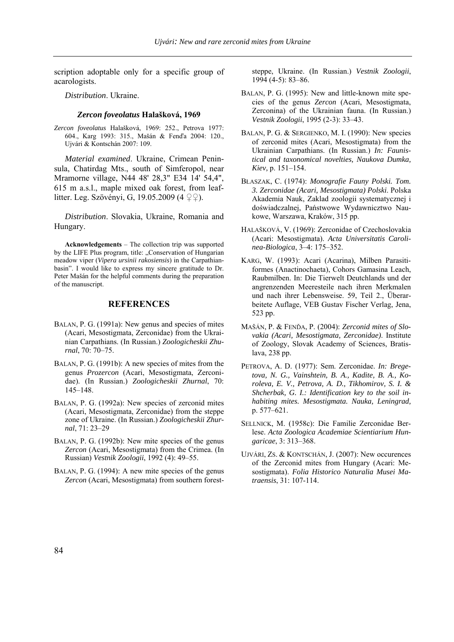scription adoptable only for a specific group of acarologists.

*Distribution*. Ukraine.

#### *Zercon foveolatus* **Halašková, 1969**

*Zercon foveolatus* Halašková, 1969: 252., Petrova 1977: 604., Karg 1993: 315., Mašán & Fenďa 2004: 120., Ujvári & Kontschán 2007: 109.

*Material examined*. Ukraine, Crimean Peninsula, Chatirdag Mts., south of Simferopol, near Mramorne village, N44 48' 28,3" E34 14' 54,4", 615 m a.s.l., maple mixed oak forest, from leaflitter. Leg. Szövényi, G, 19.05.2009 (4 ♀♀).

*Distribution*. Slovakia, Ukraine, Romania and Hungary.

**Acknowledgements** – The collection trip was supported by the LIFE Plus program, title: "Conservation of Hungarian meadow viper (*Vipera ursinii rakosiensis*) in the Carpathianbasin". I would like to express my sincere gratitude to Dr. Peter Mašán for the helpful comments during the preparation of the manuscript.

## **REFERENCES**

- BALAN, P. G. (1991a): New genus and species of mites (Acari, Mesostigmata, Zerconidae) from the Ukrainian Carpathians. (In Russian.) *Zoologicheskii Zhurnal*, 70: 70–75.
- BALAN, P. G. (1991b): A new species of mites from the genus *Prozercon* (Acari, Mesostigmata, Zerconidae). (In Russian.) *Zoologicheskii Zhurnal*, 70: 145–148.
- BALAN, P. G. (1992a): New species of zerconid mites (Acari, Mesostigmata, Zerconidae) from the steppe zone of Ukraine. (In Russian.) *Zoologicheskii Zhurnal*, 71: 23–29
- BALAN, P. G. (1992b): New mite species of the genus *Zercon* (Acari, Mesostigmata) from the Crimea. (In Russian) *Vestnik Zoologii*, 1992 (4): 49–55.
- BALAN, P. G. (1994): A new mite species of the genus *Zercon* (Acari, Mesostigmata) from southern forest-

steppe, Ukraine. (In Russian.) *Vestnik Zoologii*, 1994 (4-5): 83–86.

- BALAN, P. G. (1995): New and little-known mite species of the genus *Zercon* (Acari, Mesostigmata, Zerconina) of the Ukrainian fauna. (In Russian.) *Vestnik Zoologii*, 1995 (2-3): 33–43.
- BALAN, P. G. & SERGIENKO, M. I. (1990): New species of zerconid mites (Acari, Mesostigmata) from the Ukrainian Carpathians. (In Russian.) *In: Faunistical and taxonomical novelties, Naukova Dumka, Kiev,* p. 151–154.
- BŁASZAK, C. (1974): *Monografie Fauny Polski. Tom. 3. Zerconidae (Acari, Mesostigmata) Polski*. Polska Akademia Nauk, Zaklad zoologii systematycznej i doświadczalnej, Państwowe Wydawnicztwo Naukowe, Warszawa, Kraków, 315 pp.
- HALAŠKOVÁ, V. (1969): Zerconidae of Czechoslovakia (Acari: Mesostigmata). *Acta Universitatis Carolinea-Biologica*, 3–4: 175–352.
- KARG, W. (1993): Acari (Acarina), Milben Parasitiformes (Anactinochaeta), Cohors Gamasina Leach, Raubmilben. In: Die Tierwelt Deutchlands und der angrenzenden Meeresteile nach ihren Merkmalen und nach ihrer Lebensweise. 59, Teil 2., Überarbeitete Auflage, VEB Gustav Fischer Verlag, Jena, 523 pp.
- MAŠÁN, P. & FENĎA, P. (2004): *Zerconid mites of Slovakia (Acari, Mesostigmata, Zerconidae)*. Institute of Zoology, Slovak Academy of Sciences, Bratislava, 238 pp.
- PETROVA, A. D. (1977): Sem. Zerconidae. *In: Bregetova, N. G., Vainshtein, B. A., Kadite, B. A., Koroleva, E. V., Petrova, A. D., Tikhomirov, S. I. & Shcherbak, G. I.: Identification key to the soil inhabiting mites. Mesostigmata. Nauka, Leningrad,* p. 577–621.
- SELLNICK, M. (1958c): Die Familie Zerconidae Berlese. *Acta Zoologica Academiae Scientiarium Hungaricae*, 3: 313–368.
- UJVÁRI, ZS. & KONTSCHÁN, J. (2007): New occurences of the Zerconid mites from Hungary (Acari: Mesostigmata). *Folia Historico Naturalia Musei Matraensis*, 31: 107-114.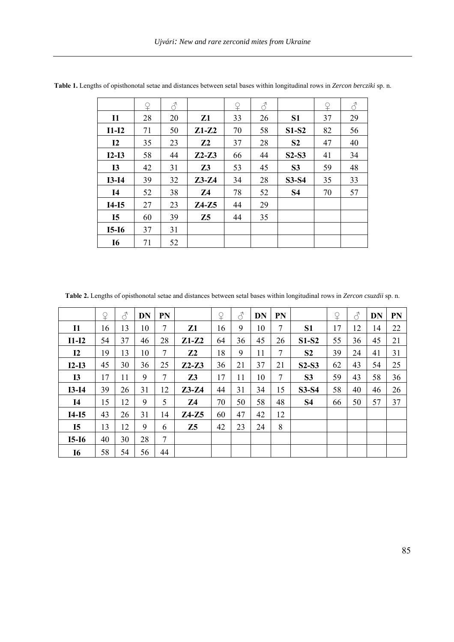|           | ¥  | 8  |                | ♀  | $\mathcal{S}$ |                | ♀  | 8  |
|-----------|----|----|----------------|----|---------------|----------------|----|----|
| <b>I1</b> | 28 | 20 | Z1             | 33 | 26            | S <sub>1</sub> | 37 | 29 |
| $I1-I2$   | 71 | 50 | $Z1-Z2$        | 70 | 58            | $S1-S2$        | 82 | 56 |
| 12        | 35 | 23 | Z <sub>2</sub> | 37 | 28            | S <sub>2</sub> | 47 | 40 |
| $I2-I3$   | 58 | 44 | $Z2-Z3$        | 66 | 44            | $S2-S3$        | 41 | 34 |
| <b>I3</b> | 42 | 31 | Z <sub>3</sub> | 53 | 45            | S <sub>3</sub> | 59 | 48 |
| $I3-I4$   | 39 | 32 | $Z3-Z4$        | 34 | 28            | S3-S4          | 35 | 33 |
| <b>I4</b> | 52 | 38 | Z <sub>4</sub> | 78 | 52            | <b>S4</b>      | 70 | 57 |
| $I4-I5$   | 27 | 23 | $Z4-Z5$        | 44 | 29            |                |    |    |
| <b>I5</b> | 60 | 39 | Z <sub>5</sub> | 44 | 35            |                |    |    |
| $I5-I6$   | 37 | 31 |                |    |               |                |    |    |
| <b>I6</b> | 71 | 52 |                |    |               |                |    |    |

**Table 1.** Lengths of opisthonotal setae and distances between setal bases within longitudinal rows in *Zercon bercziki* sp. n.

**Table 2.** Lengths of opisthonotal setae and distances between setal bases within longitudinal rows in *Zercon csuzdii* sp. n.

|               | $\mathsf{P}$ | 8  | <b>DN</b> | PN |                | $\mathsf{P}$ | $\mathcal{E}$ | <b>DN</b> | PN |                | $\mathsf{P}$ | $\mathcal{E}$ | DN | PN |
|---------------|--------------|----|-----------|----|----------------|--------------|---------------|-----------|----|----------------|--------------|---------------|----|----|
| $\mathbf{I}$  | 16           | 13 | 10        | 7  | Z1             | 16           | 9             | 10        | 7  | S <sub>1</sub> | 17           | 12            | 14 | 22 |
| $I1-I2$       | 54           | 37 | 46        | 28 | $Z1-Z2$        | 64           | 36            | 45        | 26 | $S1-S2$        | 55           | 36            | 45 | 21 |
| $\mathbf{I2}$ | 19           | 13 | 10        | 7  | Z <sub>2</sub> | 18           | 9             | 11        | 7  | S <sub>2</sub> | 39           | 24            | 41 | 31 |
| $I2-I3$       | 45           | 30 | 36        | 25 | $Z2-Z3$        | 36           | 21            | 37        | 21 | $S2-S3$        | 62           | 43            | 54 | 25 |
| <b>I3</b>     | 17           | 11 | 9         | 7  | Z <sub>3</sub> | 17           | 11            | 10        | 7  | S <sub>3</sub> | 59           | 43            | 58 | 36 |
| $I3-I4$       | 39           | 26 | 31        | 12 | $Z3-Z4$        | 44           | 31            | 34        | 15 | S3-S4          | 58           | 40            | 46 | 26 |
| 14            | 15           | 12 | 9         | 5  | Z4             | 70           | 50            | 58        | 48 | S4             | 66           | 50            | 57 | 37 |
| $I4-I5$       | 43           | 26 | 31        | 14 | $Z4-Z5$        | 60           | 47            | 42        | 12 |                |              |               |    |    |
| <b>I5</b>     | 13           | 12 | 9         | 6  | Z <sub>5</sub> | 42           | 23            | 24        | 8  |                |              |               |    |    |
| $I5-I6$       | 40           | 30 | 28        | 7  |                |              |               |           |    |                |              |               |    |    |
| <b>I6</b>     | 58           | 54 | 56        | 44 |                |              |               |           |    |                |              |               |    |    |